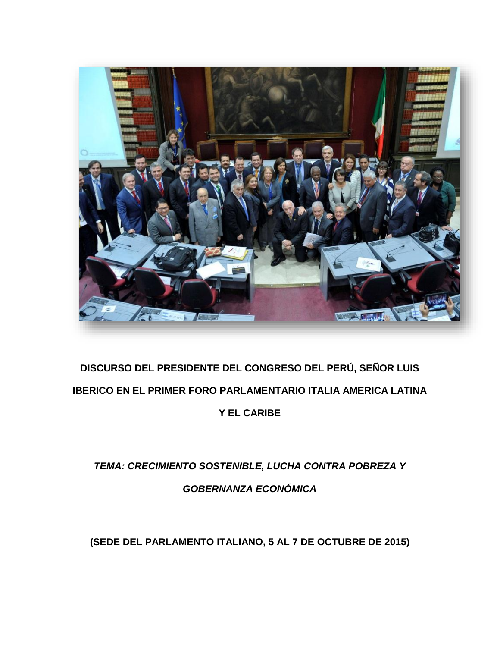

## **DISCURSO DEL PRESIDENTE DEL CONGRESO DEL PERÚ, SEÑOR LUIS IBERICO EN EL PRIMER FORO PARLAMENTARIO ITALIA AMERICA LATINA Y EL CARIBE**

## *TEMA: CRECIMIENTO SOSTENIBLE, LUCHA CONTRA POBREZA Y GOBERNANZA ECONÓMICA*

**(SEDE DEL PARLAMENTO ITALIANO, 5 AL 7 DE OCTUBRE DE 2015)**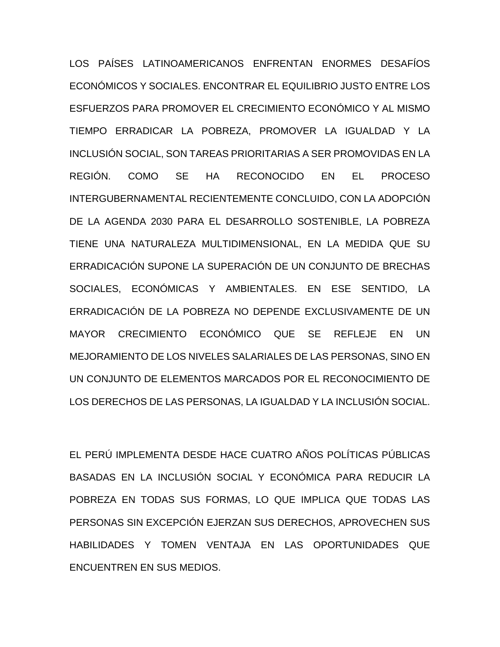LOS PAÍSES LATINOAMERICANOS ENFRENTAN ENORMES DESAFÍOS ECONÓMICOS Y SOCIALES. ENCONTRAR EL EQUILIBRIO JUSTO ENTRE LOS ESFUERZOS PARA PROMOVER EL CRECIMIENTO ECONÓMICO Y AL MISMO TIEMPO ERRADICAR LA POBREZA, PROMOVER LA IGUALDAD Y LA INCLUSIÓN SOCIAL, SON TAREAS PRIORITARIAS A SER PROMOVIDAS EN LA REGIÓN. COMO SE HA RECONOCIDO EN EL PROCESO INTERGUBERNAMENTAL RECIENTEMENTE CONCLUIDO, CON LA ADOPCIÓN DE LA AGENDA 2030 PARA EL DESARROLLO SOSTENIBLE, LA POBREZA TIENE UNA NATURALEZA MULTIDIMENSIONAL, EN LA MEDIDA QUE SU ERRADICACIÓN SUPONE LA SUPERACIÓN DE UN CONJUNTO DE BRECHAS SOCIALES, ECONÓMICAS Y AMBIENTALES. EN ESE SENTIDO, LA ERRADICACIÓN DE LA POBREZA NO DEPENDE EXCLUSIVAMENTE DE UN MAYOR CRECIMIENTO ECONÓMICO QUE SE REFLEJE EN UN MEJORAMIENTO DE LOS NIVELES SALARIALES DE LAS PERSONAS, SINO EN UN CONJUNTO DE ELEMENTOS MARCADOS POR EL RECONOCIMIENTO DE LOS DERECHOS DE LAS PERSONAS, LA IGUALDAD Y LA INCLUSIÓN SOCIAL.

EL PERÚ IMPLEMENTA DESDE HACE CUATRO AÑOS POLÍTICAS PÚBLICAS BASADAS EN LA INCLUSIÓN SOCIAL Y ECONÓMICA PARA REDUCIR LA POBREZA EN TODAS SUS FORMAS, LO QUE IMPLICA QUE TODAS LAS PERSONAS SIN EXCEPCIÓN EJERZAN SUS DERECHOS, APROVECHEN SUS HABILIDADES Y TOMEN VENTAJA EN LAS OPORTUNIDADES QUE ENCUENTREN EN SUS MEDIOS.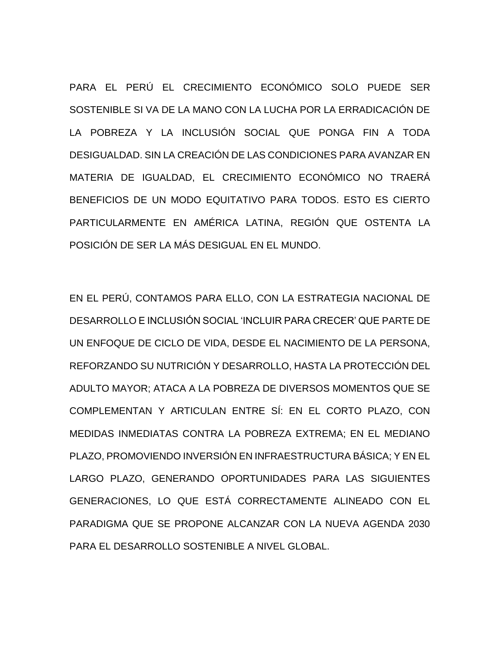PARA EL PERÚ EL CRECIMIENTO ECONÓMICO SOLO PUEDE SER SOSTENIBLE SI VA DE LA MANO CON LA LUCHA POR LA ERRADICACIÓN DE LA POBREZA Y LA INCLUSIÓN SOCIAL QUE PONGA FIN A TODA DESIGUALDAD. SIN LA CREACIÓN DE LAS CONDICIONES PARA AVANZAR EN MATERIA DE IGUALDAD, EL CRECIMIENTO ECONÓMICO NO TRAERÁ BENEFICIOS DE UN MODO EQUITATIVO PARA TODOS. ESTO ES CIERTO PARTICULARMENTE EN AMÉRICA LATINA, REGIÓN QUE OSTENTA LA POSICIÓN DE SER LA MÁS DESIGUAL EN EL MUNDO.

EN EL PERÚ, CONTAMOS PARA ELLO, CON LA ESTRATEGIA NACIONAL DE DESARROLLO E INCLUSIÓN SOCIAL 'INCLUIR PARA CRECER' QUE PARTE DE UN ENFOQUE DE CICLO DE VIDA, DESDE EL NACIMIENTO DE LA PERSONA, REFORZANDO SU NUTRICIÓN Y DESARROLLO, HASTA LA PROTECCIÓN DEL ADULTO MAYOR; ATACA A LA POBREZA DE DIVERSOS MOMENTOS QUE SE COMPLEMENTAN Y ARTICULAN ENTRE SÍ: EN EL CORTO PLAZO, CON MEDIDAS INMEDIATAS CONTRA LA POBREZA EXTREMA; EN EL MEDIANO PLAZO, PROMOVIENDO INVERSIÓN EN INFRAESTRUCTURA BÁSICA; Y EN EL LARGO PLAZO, GENERANDO OPORTUNIDADES PARA LAS SIGUIENTES GENERACIONES, LO QUE ESTÁ CORRECTAMENTE ALINEADO CON EL PARADIGMA QUE SE PROPONE ALCANZAR CON LA NUEVA AGENDA 2030 PARA EL DESARROLLO SOSTENIBLE A NIVEL GLOBAL.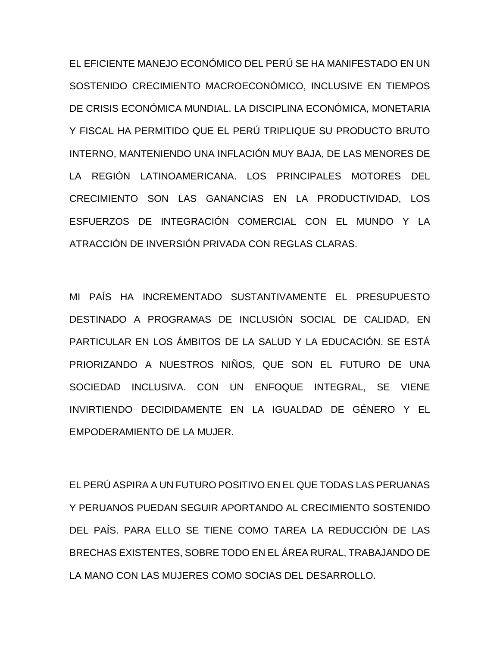EL EFICIENTE MANEJO ECONÓMICO DEL PERÚ SE HA MANIFESTADO EN UN SOSTENIDO CRECIMIENTO MACROECONÓMICO, INCLUSIVE EN TIEMPOS DE CRISIS ECONÓMICA MUNDIAL. LA DISCIPLINA ECONÓMICA, MONETARIA Y FISCAL HA PERMITIDO QUE EL PERÚ TRIPLIQUE SU PRODUCTO BRUTO INTERNO, MANTENIENDO UNA INFLACIÓN MUY BAJA, DE LAS MENORES DE LA REGIÓN LATINOAMERICANA. LOS PRINCIPALES MOTORES DEL CRECIMIENTO SON LAS GANANCIAS EN LA PRODUCTIVIDAD, LOS ESFUERZOS DE INTEGRACIÓN COMERCIAL CON EL MUNDO Y LA ATRACCIÓN DE INVERSIÓN PRIVADA CON REGLAS CLARAS.

MI PAÍS HA INCREMENTADO SUSTANTIVAMENTE EL PRESUPUESTO DESTINADO A PROGRAMAS DE INCLUSIÓN SOCIAL DE CALIDAD, EN PARTICULAR EN LOS ÁMBITOS DE LA SALUD Y LA EDUCACIÓN. SE ESTÁ PRIORIZANDO A NUESTROS NIÑOS, QUE SON EL FUTURO DE UNA SOCIEDAD INCLUSIVA. CON UN ENFOQUE INTEGRAL, SE VIENE INVIRTIENDO DECIDIDAMENTE EN LA IGUALDAD DE GÉNERO Y EL EMPODERAMIENTO DE LA MUJER.

EL PERÚ ASPIRA A UN FUTURO POSITIVO EN EL QUE TODAS LAS PERUANAS Y PERUANOS PUEDAN SEGUIR APORTANDO AL CRECIMIENTO SOSTENIDO DEL PAÍS. PARA ELLO SE TIENE COMO TAREA LA REDUCCIÓN DE LAS BRECHAS EXISTENTES, SOBRE TODO EN EL ÁREA RURAL, TRABAJANDO DE LA MANO CON LAS MUJERES COMO SOCIAS DEL DESARROLLO.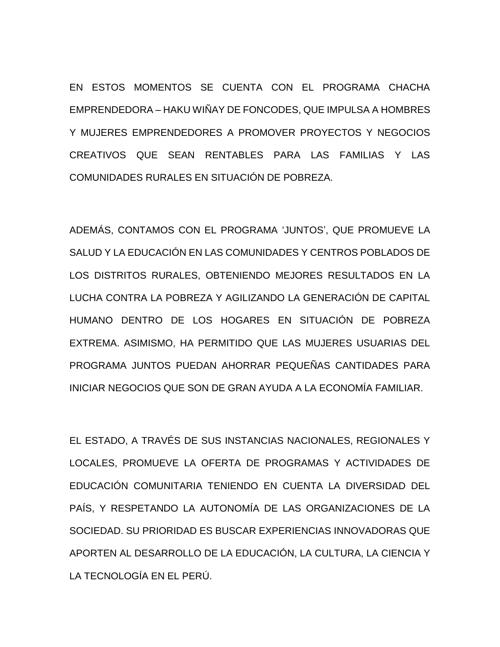EN ESTOS MOMENTOS SE CUENTA CON EL PROGRAMA CHACHA EMPRENDEDORA – HAKU WIÑAY DE FONCODES, QUE IMPULSA A HOMBRES Y MUJERES EMPRENDEDORES A PROMOVER PROYECTOS Y NEGOCIOS CREATIVOS QUE SEAN RENTABLES PARA LAS FAMILIAS Y LAS COMUNIDADES RURALES EN SITUACIÓN DE POBREZA.

ADEMÁS, CONTAMOS CON EL PROGRAMA 'JUNTOS', QUE PROMUEVE LA SALUD Y LA EDUCACIÓN EN LAS COMUNIDADES Y CENTROS POBLADOS DE LOS DISTRITOS RURALES, OBTENIENDO MEJORES RESULTADOS EN LA LUCHA CONTRA LA POBREZA Y AGILIZANDO LA GENERACIÓN DE CAPITAL HUMANO DENTRO DE LOS HOGARES EN SITUACIÓN DE POBREZA EXTREMA. ASIMISMO, HA PERMITIDO QUE LAS MUJERES USUARIAS DEL PROGRAMA JUNTOS PUEDAN AHORRAR PEQUEÑAS CANTIDADES PARA INICIAR NEGOCIOS QUE SON DE GRAN AYUDA A LA ECONOMÍA FAMILIAR.

EL ESTADO, A TRAVÉS DE SUS INSTANCIAS NACIONALES, REGIONALES Y LOCALES, PROMUEVE LA OFERTA DE PROGRAMAS Y ACTIVIDADES DE EDUCACIÓN COMUNITARIA TENIENDO EN CUENTA LA DIVERSIDAD DEL PAÍS, Y RESPETANDO LA AUTONOMÍA DE LAS ORGANIZACIONES DE LA SOCIEDAD. SU PRIORIDAD ES BUSCAR EXPERIENCIAS INNOVADORAS QUE APORTEN AL DESARROLLO DE LA EDUCACIÓN, LA CULTURA, LA CIENCIA Y LA TECNOLOGÍA EN EL PERÚ.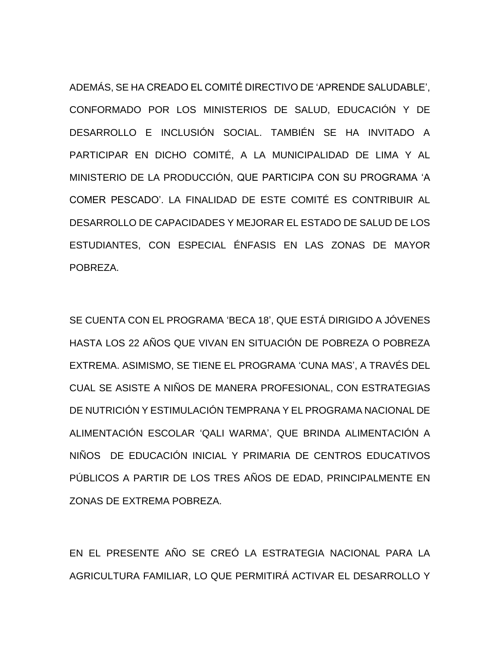ADEMÁS, SE HA CREADO EL COMITÉ DIRECTIVO DE 'APRENDE SALUDABLE', CONFORMADO POR LOS MINISTERIOS DE SALUD, EDUCACIÓN Y DE DESARROLLO E INCLUSIÓN SOCIAL. TAMBIÉN SE HA INVITADO A PARTICIPAR EN DICHO COMITÉ, A LA MUNICIPALIDAD DE LIMA Y AL MINISTERIO DE LA PRODUCCIÓN, QUE PARTICIPA CON SU PROGRAMA 'A COMER PESCADO'. LA FINALIDAD DE ESTE COMITÉ ES CONTRIBUIR AL DESARROLLO DE CAPACIDADES Y MEJORAR EL ESTADO DE SALUD DE LOS ESTUDIANTES, CON ESPECIAL ÉNFASIS EN LAS ZONAS DE MAYOR POBREZA.

SE CUENTA CON EL PROGRAMA 'BECA 18', QUE ESTÁ DIRIGIDO A JÓVENES HASTA LOS 22 AÑOS QUE VIVAN EN SITUACIÓN DE POBREZA O POBREZA EXTREMA. ASIMISMO, SE TIENE EL PROGRAMA 'CUNA MAS', A TRAVÉS DEL CUAL SE ASISTE A NIÑOS DE MANERA PROFESIONAL, CON ESTRATEGIAS DE NUTRICIÓN Y ESTIMULACIÓN TEMPRANA Y EL PROGRAMA NACIONAL DE ALIMENTACIÓN ESCOLAR 'QALI WARMA', QUE BRINDA ALIMENTACIÓN A NIÑOS DE EDUCACIÓN INICIAL Y PRIMARIA DE CENTROS EDUCATIVOS PÚBLICOS A PARTIR DE LOS TRES AÑOS DE EDAD, PRINCIPALMENTE EN ZONAS DE EXTREMA POBREZA.

EN EL PRESENTE AÑO SE CREÓ LA ESTRATEGIA NACIONAL PARA LA AGRICULTURA FAMILIAR, LO QUE PERMITIRÁ ACTIVAR EL DESARROLLO Y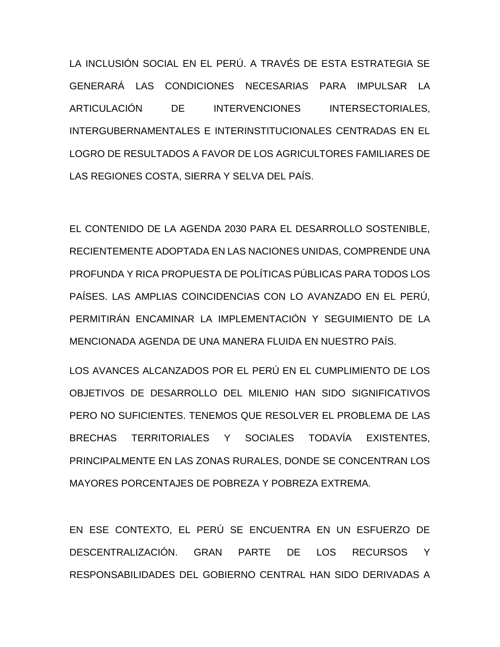LA INCLUSIÓN SOCIAL EN EL PERÚ. A TRAVÉS DE ESTA ESTRATEGIA SE GENERARÁ LAS CONDICIONES NECESARIAS PARA IMPULSAR LA ARTICULACIÓN DE INTERVENCIONES INTERSECTORIALES, INTERGUBERNAMENTALES E INTERINSTITUCIONALES CENTRADAS EN EL LOGRO DE RESULTADOS A FAVOR DE LOS AGRICULTORES FAMILIARES DE LAS REGIONES COSTA, SIERRA Y SELVA DEL PAÍS.

EL CONTENIDO DE LA AGENDA 2030 PARA EL DESARROLLO SOSTENIBLE, RECIENTEMENTE ADOPTADA EN LAS NACIONES UNIDAS, COMPRENDE UNA PROFUNDA Y RICA PROPUESTA DE POLÍTICAS PÚBLICAS PARA TODOS LOS PAÍSES. LAS AMPLIAS COINCIDENCIAS CON LO AVANZADO EN EL PERÚ, PERMITIRÁN ENCAMINAR LA IMPLEMENTACIÓN Y SEGUIMIENTO DE LA MENCIONADA AGENDA DE UNA MANERA FLUIDA EN NUESTRO PAÍS.

LOS AVANCES ALCANZADOS POR EL PERÚ EN EL CUMPLIMIENTO DE LOS OBJETIVOS DE DESARROLLO DEL MILENIO HAN SIDO SIGNIFICATIVOS PERO NO SUFICIENTES. TENEMOS QUE RESOLVER EL PROBLEMA DE LAS BRECHAS TERRITORIALES Y SOCIALES TODAVÍA EXISTENTES, PRINCIPALMENTE EN LAS ZONAS RURALES, DONDE SE CONCENTRAN LOS MAYORES PORCENTAJES DE POBREZA Y POBREZA EXTREMA.

EN ESE CONTEXTO, EL PERÚ SE ENCUENTRA EN UN ESFUERZO DE DESCENTRALIZACIÓN. GRAN PARTE DE LOS RECURSOS Y RESPONSABILIDADES DEL GOBIERNO CENTRAL HAN SIDO DERIVADAS A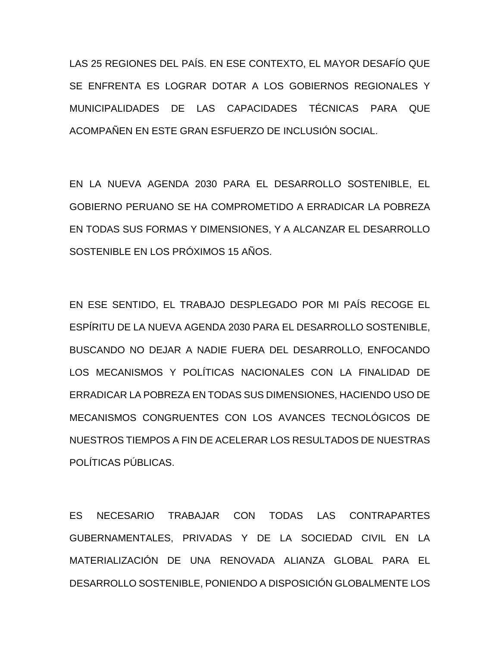LAS 25 REGIONES DEL PAÍS. EN ESE CONTEXTO, EL MAYOR DESAFÍO QUE SE ENFRENTA ES LOGRAR DOTAR A LOS GOBIERNOS REGIONALES Y MUNICIPALIDADES DE LAS CAPACIDADES TÉCNICAS PARA QUE ACOMPAÑEN EN ESTE GRAN ESFUERZO DE INCLUSIÓN SOCIAL.

EN LA NUEVA AGENDA 2030 PARA EL DESARROLLO SOSTENIBLE, EL GOBIERNO PERUANO SE HA COMPROMETIDO A ERRADICAR LA POBREZA EN TODAS SUS FORMAS Y DIMENSIONES, Y A ALCANZAR EL DESARROLLO SOSTENIBLE EN LOS PRÓXIMOS 15 AÑOS.

EN ESE SENTIDO, EL TRABAJO DESPLEGADO POR MI PAÍS RECOGE EL ESPÍRITU DE LA NUEVA AGENDA 2030 PARA EL DESARROLLO SOSTENIBLE, BUSCANDO NO DEJAR A NADIE FUERA DEL DESARROLLO, ENFOCANDO LOS MECANISMOS Y POLÍTICAS NACIONALES CON LA FINALIDAD DE ERRADICAR LA POBREZA EN TODAS SUS DIMENSIONES, HACIENDO USO DE MECANISMOS CONGRUENTES CON LOS AVANCES TECNOLÓGICOS DE NUESTROS TIEMPOS A FIN DE ACELERAR LOS RESULTADOS DE NUESTRAS POLÍTICAS PÚBLICAS.

ES NECESARIO TRABAJAR CON TODAS LAS CONTRAPARTES GUBERNAMENTALES, PRIVADAS Y DE LA SOCIEDAD CIVIL EN LA MATERIALIZACIÓN DE UNA RENOVADA ALIANZA GLOBAL PARA EL DESARROLLO SOSTENIBLE, PONIENDO A DISPOSICIÓN GLOBALMENTE LOS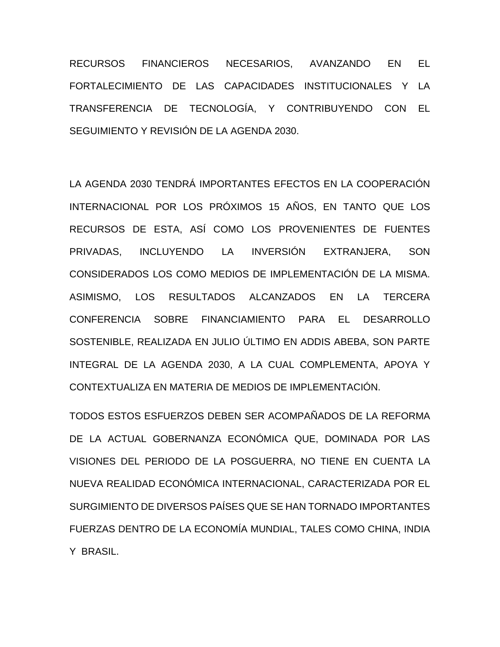RECURSOS FINANCIEROS NECESARIOS, AVANZANDO EN EL FORTALECIMIENTO DE LAS CAPACIDADES INSTITUCIONALES Y LA TRANSFERENCIA DE TECNOLOGÍA, Y CONTRIBUYENDO CON EL SEGUIMIENTO Y REVISIÓN DE LA AGENDA 2030.

LA AGENDA 2030 TENDRÁ IMPORTANTES EFECTOS EN LA COOPERACIÓN INTERNACIONAL POR LOS PRÓXIMOS 15 AÑOS, EN TANTO QUE LOS RECURSOS DE ESTA, ASÍ COMO LOS PROVENIENTES DE FUENTES PRIVADAS, INCLUYENDO LA INVERSIÓN EXTRANJERA, SON CONSIDERADOS LOS COMO MEDIOS DE IMPLEMENTACIÓN DE LA MISMA. ASIMISMO, LOS RESULTADOS ALCANZADOS EN LA TERCERA CONFERENCIA SOBRE FINANCIAMIENTO PARA EL DESARROLLO SOSTENIBLE, REALIZADA EN JULIO ÚLTIMO EN ADDIS ABEBA, SON PARTE INTEGRAL DE LA AGENDA 2030, A LA CUAL COMPLEMENTA, APOYA Y CONTEXTUALIZA EN MATERIA DE MEDIOS DE IMPLEMENTACIÓN.

TODOS ESTOS ESFUERZOS DEBEN SER ACOMPAÑADOS DE LA REFORMA DE LA ACTUAL GOBERNANZA ECONÓMICA QUE, DOMINADA POR LAS VISIONES DEL PERIODO DE LA POSGUERRA, NO TIENE EN CUENTA LA NUEVA REALIDAD ECONÓMICA INTERNACIONAL, CARACTERIZADA POR EL SURGIMIENTO DE DIVERSOS PAÍSES QUE SE HAN TORNADO IMPORTANTES FUERZAS DENTRO DE LA ECONOMÍA MUNDIAL, TALES COMO CHINA, INDIA Y BRASIL.